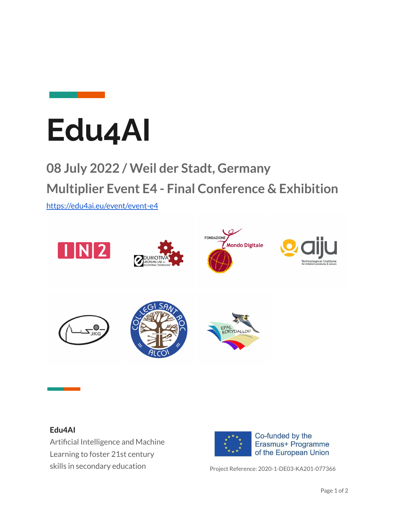

## **Edu4AI**

## **08 July 2022 / Weil der Stadt, Germany Multiplier Event E4 - Final Conference & Exhibition**

<https://edu4ai.eu/event/event-e4>



## **Edu4AI**

Artificial Intelligence and Machine Learning to foster 21st century skills in secondary education example of Project Reference: 2020-1-DE03-KA201-077366